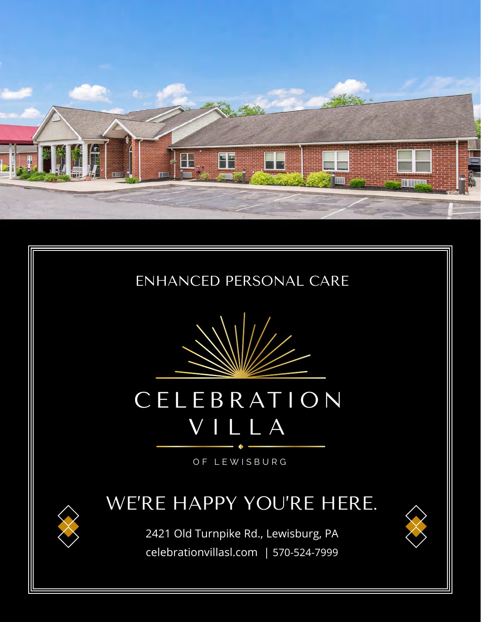





# CELEB RAT ION VILLA

OF LEWISBURG

### WE'RE HAPPY YOU'RE HERE.

2421 Old Turnpike Rd., Lewisburg, PA celebrationvillasl.com | 570-524-7999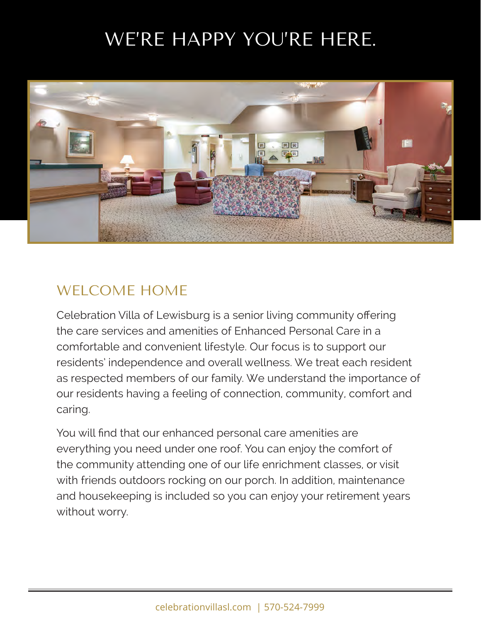## WE'RE HAPPY YOU'RE HERE.



#### WELCOME HOME

Celebration Villa of Lewisburg is a senior living community offering the care services and amenities of Enhanced Personal Care in a comfortable and convenient lifestyle. Our focus is to support our residents' independence and overall wellness. We treat each resident as respected members of our family. We understand the importance of our residents having a feeling of connection, community, comfort and caring.

You will find that our enhanced personal care amenities are everything you need under one roof. You can enjoy the comfort of the community attending one of our life enrichment classes, or visit with friends outdoors rocking on our porch. In addition, maintenance and housekeeping is included so you can enjoy your retirement years without worry.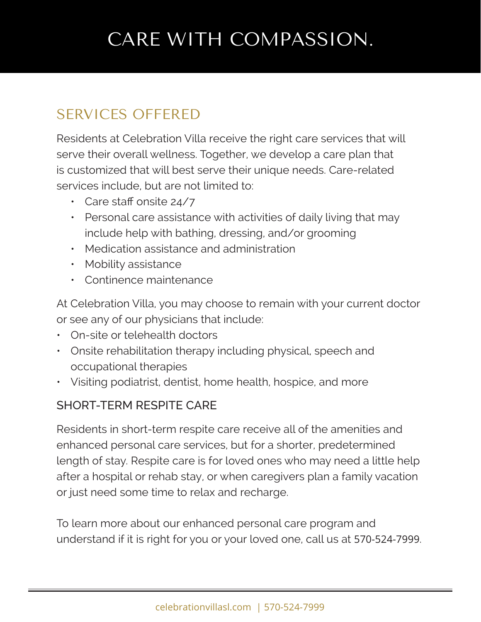## CARE WITH COMPASSION.

### SERVICES OFFERED

Residents at Celebration Villa receive the right care services that will serve their overall wellness. Together, we develop a care plan that is customized that will best serve their unique needs. Care-related services include, but are not limited to:

- Care staff onsite 24/7
- Personal care assistance with activities of daily living that may include help with bathing, dressing, and/or grooming
- Medication assistance and administration
- Mobility assistance
- Continence maintenance

At Celebration Villa, you may choose to remain with your current doctor or see any of our physicians that include:

- On-site or telehealth doctors
- Onsite rehabilitation therapy including physical, speech and occupational therapies
- Visiting podiatrist, dentist, home health, hospice, and more

#### SHORT-TERM RESPITE CARE

Residents in short-term respite care receive all of the amenities and enhanced personal care services, but for a shorter, predetermined length of stay. Respite care is for loved ones who may need a little help after a hospital or rehab stay, or when caregivers plan a family vacation or just need some time to relax and recharge.

To learn more about our enhanced personal care program and understand if it is right for you or your loved one, call us at 570-524-7999.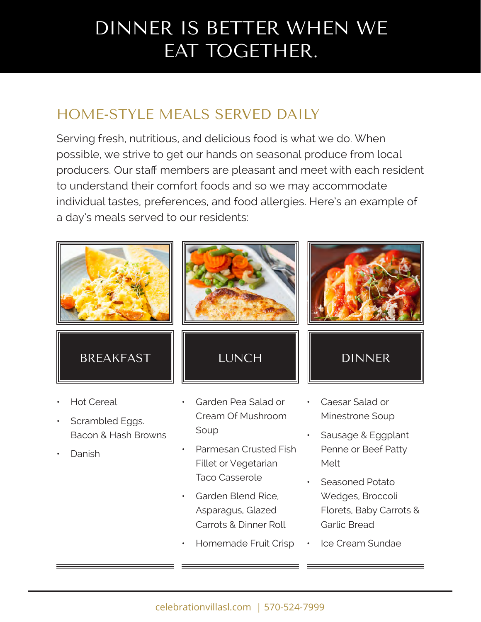## DINNER IS BETTER WHEN WE EAT TOGETHER.

### HOME-STYLE MEALS SERVED DAILY

Serving fresh, nutritious, and delicious food is what we do. When possible, we strive to get our hands on seasonal produce from local producers. Our staff members are pleasant and meet with each resident to understand their comfort foods and so we may accommodate individual tastes, preferences, and food allergies. Here's an example of a day's meals served to our residents:



- Scrambled Eggs. Bacon & Hash Browns
- Danish
- Cream Of Mushroom Soup
- Parmesan Crusted Fish Fillet or Vegetarian Taco Casserole
- Garden Blend Rice, Asparagus, Glazed Carrots & Dinner Roll
- Homemade Fruit Crisp
- Minestrone Soup
- Sausage & Eggplant Penne or Beef Patty Melt
- Seasoned Potato Wedges, Broccoli Florets, Baby Carrots & Garlic Bread
- Ice Cream Sundae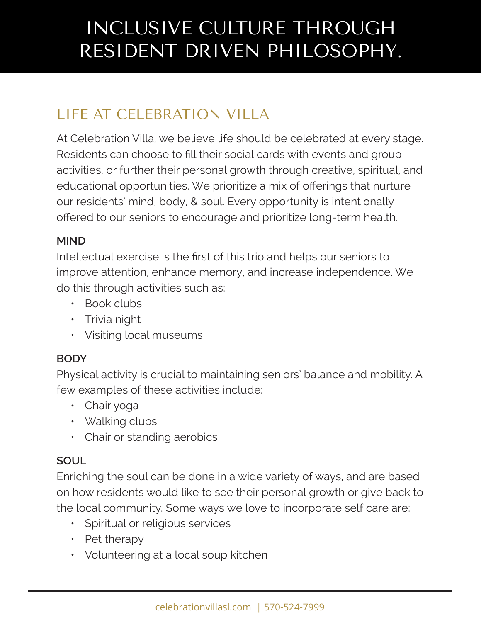## INCLUSIVE CULTURE THROUGH RESIDENT DRIVEN PHILOSOPHY.

### LIFE AT CELEBRATION VILLA

At Celebration Villa, we believe life should be celebrated at every stage. Residents can choose to fill their social cards with events and group activities, or further their personal growth through creative, spiritual, and educational opportunities. We prioritize a mix of offerings that nurture our residents' mind, body, & soul. Every opportunity is intentionally offered to our seniors to encourage and prioritize long-term health.

#### **MIND**

Intellectual exercise is the first of this trio and helps our seniors to improve attention, enhance memory, and increase independence. We do this through activities such as:

- Book clubs
- Trivia night
- Visiting local museums

#### **BODY**

Physical activity is crucial to maintaining seniors' balance and mobility. A few examples of these activities include:

- Chair yoga
- Walking clubs
- Chair or standing aerobics

#### **SOUL**

Enriching the soul can be done in a wide variety of ways, and are based on how residents would like to see their personal growth or give back to the local community. Some ways we love to incorporate self care are:

- Spiritual or religious services
- Pet therapy
- Volunteering at a local soup kitchen